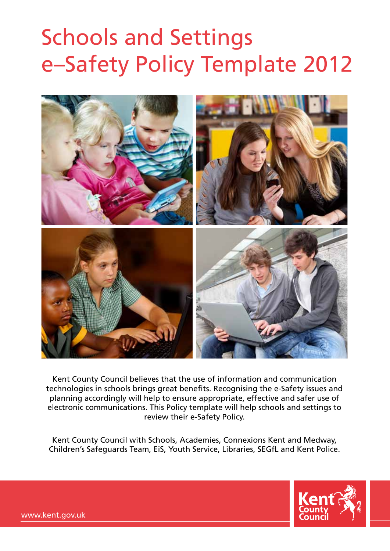# Schools and Settings e–Safety Policy Template 2012



Kent County Council believes that the use of information and communication technologies in schools brings great benefits. Recognising the e-Safety issues and planning accordingly will help to ensure appropriate, effective and safer use of electronic communications. This Policy template will help schools and settings to review their e-Safety Policy.

Kent County Council with Schools, Academies, Connexions Kent and Medway, Children's Safeguards Team, EiS, Youth Service, Libraries, SEGfL and Kent Police.



www.kent.gov.uk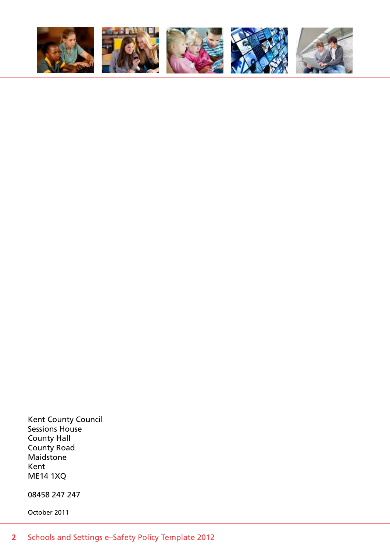

Kent County Council Sessions House County Hall County Road Maidstone Kent ME14 1XQ

08458 247 247

October 2011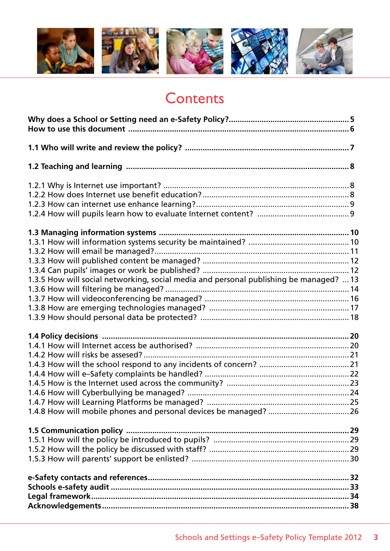

# **Contents**

| 1.3.5 How will social networking, social media and personal publishing be managed?  13 |  |
|----------------------------------------------------------------------------------------|--|
|                                                                                        |  |
|                                                                                        |  |
|                                                                                        |  |
|                                                                                        |  |
|                                                                                        |  |
|                                                                                        |  |
|                                                                                        |  |
|                                                                                        |  |
|                                                                                        |  |
|                                                                                        |  |
|                                                                                        |  |
|                                                                                        |  |
|                                                                                        |  |
|                                                                                        |  |
|                                                                                        |  |
|                                                                                        |  |
|                                                                                        |  |
|                                                                                        |  |
|                                                                                        |  |
|                                                                                        |  |
|                                                                                        |  |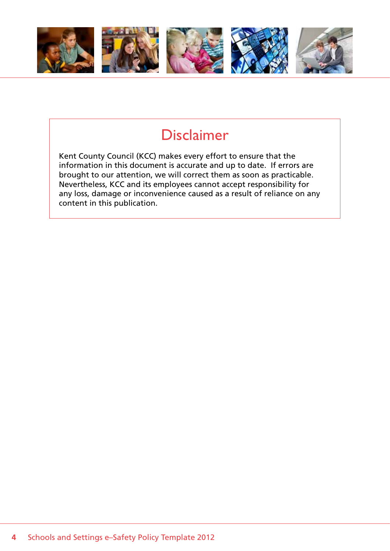

# Disclaimer

Kent County Council (KCC) makes every effort to ensure that the information in this document is accurate and up to date. If errors are brought to our attention, we will correct them as soon as practicable. Nevertheless, KCC and its employees cannot accept responsibility for any loss, damage or inconvenience caused as a result of reliance on any content in this publication.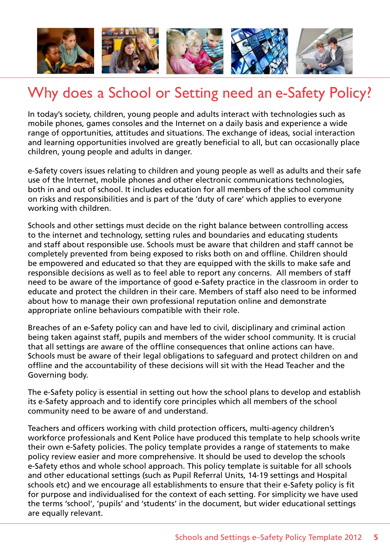

# Why does a School or Setting need an e-Safety Policy?

In today's society, children, young people and adults interact with technologies such as mobile phones, games consoles and the Internet on a daily basis and experience a wide range of opportunities, attitudes and situations. The exchange of ideas, social interaction and learning opportunities involved are greatly beneficial to all, but can occasionally place children, young people and adults in danger.

e-Safety covers issues relating to children and young people as well as adults and their safe use of the Internet, mobile phones and other electronic communications technologies, both in and out of school. It includes education for all members of the school community on risks and responsibilities and is part of the 'duty of care' which applies to everyone working with children.

Schools and other settings must decide on the right balance between controlling access to the internet and technology, setting rules and boundaries and educating students and staff about responsible use. Schools must be aware that children and staff cannot be completely prevented from being exposed to risks both on and offline. Children should be empowered and educated so that they are equipped with the skills to make safe and responsible decisions as well as to feel able to report any concerns. All members of staff need to be aware of the importance of good e-Safety practice in the classroom in order to educate and protect the children in their care. Members of staff also need to be informed about how to manage their own professional reputation online and demonstrate appropriate online behaviours compatible with their role.

Breaches of an e-Safety policy can and have led to civil, disciplinary and criminal action being taken against staff, pupils and members of the wider school community. It is crucial that all settings are aware of the offline consequences that online actions can have. Schools must be aware of their legal obligations to safeguard and protect children on and offline and the accountability of these decisions will sit with the Head Teacher and the Governing body.

The e-Safety policy is essential in setting out how the school plans to develop and establish its e-Safety approach and to identify core principles which all members of the school community need to be aware of and understand.

Teachers and officers working with child protection officers, multi-agency children's workforce professionals and Kent Police have produced this template to help schools write their own e-Safety policies. The policy template provides a range of statements to make policy review easier and more comprehensive. It should be used to develop the schools e-Safety ethos and whole school approach. This policy template is suitable for all schools and other educational settings (such as Pupil Referral Units, 14-19 settings and Hospital schools etc) and we encourage all establishments to ensure that their e-Safety policy is fit for purpose and individualised for the context of each setting. For simplicity we have used the terms 'school', 'pupils' and 'students' in the document, but wider educational settings are equally relevant.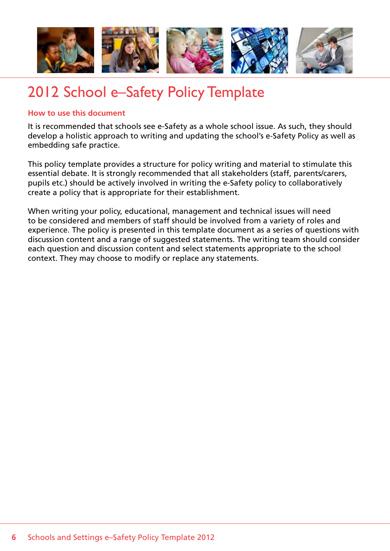

# 2012 School e–Safety Policy Template

# **How to use this document**

It is recommended that schools see e-Safety as a whole school issue. As such, they should develop a holistic approach to writing and updating the school's e-Safety Policy as well as embedding safe practice.

This policy template provides a structure for policy writing and material to stimulate this essential debate. It is strongly recommended that all stakeholders (staff, parents/carers, pupils etc.) should be actively involved in writing the e-Safety policy to collaboratively create a policy that is appropriate for their establishment.

When writing your policy, educational, management and technical issues will need to be considered and members of staff should be involved from a variety of roles and experience. The policy is presented in this template document as a series of questions with discussion content and a range of suggested statements. The writing team should consider each question and discussion content and select statements appropriate to the school context. They may choose to modify or replace any statements.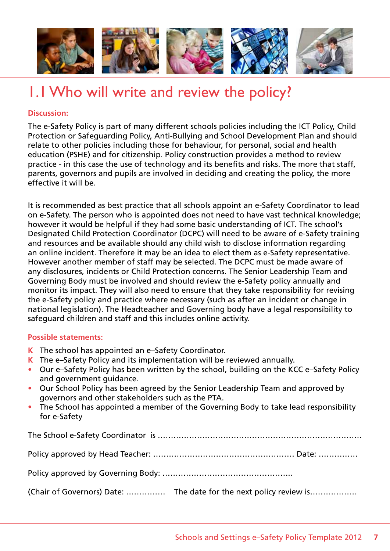

# 1.1 Who will write and review the policy?

# **Discussion:**

The e-Safety Policy is part of many different schools policies including the ICT Policy, Child Protection or Safeguarding Policy, Anti-Bullying and School Development Plan and should relate to other policies including those for behaviour, for personal, social and health education (PSHE) and for citizenship. Policy construction provides a method to review practice - in this case the use of technology and its benefits and risks. The more that staff, parents, governors and pupils are involved in deciding and creating the policy, the more effective it will be.

It is recommended as best practice that all schools appoint an e-Safety Coordinator to lead on e-Safety. The person who is appointed does not need to have vast technical knowledge; however it would be helpful if they had some basic understanding of ICT. The school's Designated Child Protection Coordinator (DCPC) will need to be aware of e-Safety training and resources and be available should any child wish to disclose information regarding an online incident. Therefore it may be an idea to elect them as e-Safety representative. However another member of staff may be selected. The DCPC must be made aware of any disclosures, incidents or Child Protection concerns. The Senior Leadership Team and Governing Body must be involved and should review the e-Safety policy annually and monitor its impact. They will also need to ensure that they take responsibility for revising the e-Safety policy and practice where necessary (such as after an incident or change in national legislation). The Headteacher and Governing body have a legal responsibility to safeguard children and staff and this includes online activity.

# **Possible statements:**

- **K** The school has appointed an e–Safety Coordinator.
- **K** The e–Safety Policy and its implementation will be reviewed annually.
- Our e–Safety Policy has been written by the school, building on the KCC e–Safety Policy and government guidance.
- Our School Policy has been agreed by the Senior Leadership Team and approved by governors and other stakeholders such as the PTA.
- The School has appointed a member of the Governing Body to take lead responsibility for e-Safety

The School e-Safety Coordinator is …………………………………………………………………… Policy approved by Head Teacher: ……………………………………………… Date: …………… Policy approved by Governing Body: ………………………………………….. (Chair of Governors) Date: …………… The date for the next policy review is………………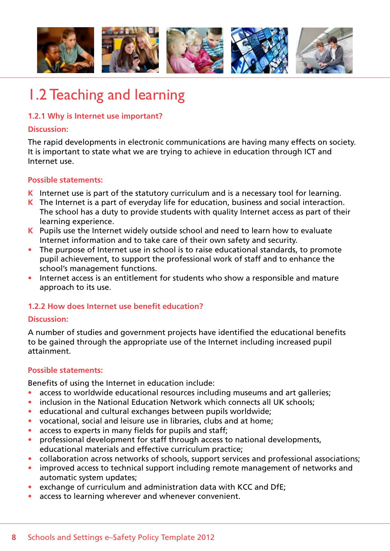

# 1.2 Teaching and learning

# **1.2.1 Why is Internet use important?**

#### **Discussion:**

The rapid developments in electronic communications are having many effects on society. It is important to state what we are trying to achieve in education through ICT and Internet use.

# **Possible statements:**

- **K** Internet use is part of the statutory curriculum and is a necessary tool for learning.
- **K** The Internet is a part of everyday life for education, business and social interaction. The school has a duty to provide students with quality Internet access as part of their learning experience.
- **K** Pupils use the Internet widely outside school and need to learn how to evaluate Internet information and to take care of their own safety and security.
- The purpose of Internet use in school is to raise educational standards, to promote pupil achievement, to support the professional work of staff and to enhance the school's management functions.
- Internet access is an entitlement for students who show a responsible and mature approach to its use.

# **1.2.2 How does Internet use benefit education?**

# **Discussion:**

A number of studies and government projects have identified the educational benefits to be gained through the appropriate use of the Internet including increased pupil attainment.

# **Possible statements:**

Benefits of using the Internet in education include:

- access to worldwide educational resources including museums and art galleries;
- inclusion in the National Education Network which connects all UK schools;
- educational and cultural exchanges between pupils worldwide:
- vocational, social and leisure use in libraries, clubs and at home;
- access to experts in many fields for pupils and staff;
- professional development for staff through access to national developments, educational materials and effective curriculum practice;
- collaboration across networks of schools, support services and professional associations;
- improved access to technical support including remote management of networks and automatic system updates;
- exchange of curriculum and administration data with KCC and DfE;
- access to learning wherever and whenever convenient.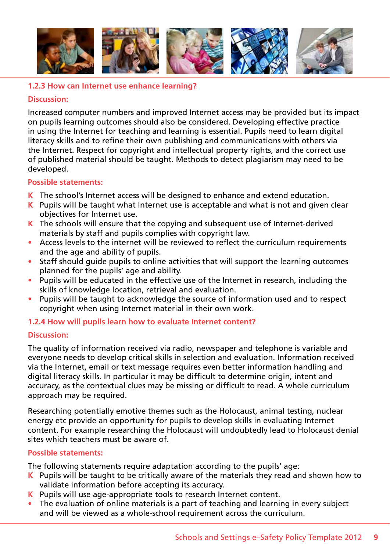

# **1.2.3 How can Internet use enhance learning?**

#### **Discussion:**

Increased computer numbers and improved Internet access may be provided but its impact on pupils learning outcomes should also be considered. Developing effective practice in using the Internet for teaching and learning is essential. Pupils need to learn digital literacy skills and to refine their own publishing and communications with others via the Internet. Respect for copyright and intellectual property rights, and the correct use of published material should be taught. Methods to detect plagiarism may need to be developed.

#### **Possible statements:**

- **K** The school's Internet access will be designed to enhance and extend education.
- **K** Pupils will be taught what Internet use is acceptable and what is not and given clear objectives for Internet use.
- **K** The schools will ensure that the copying and subsequent use of Internet-derived materials by staff and pupils complies with copyright law.
- Access levels to the internet will be reviewed to reflect the curriculum requirements and the age and ability of pupils.
- Staff should quide pupils to online activities that will support the learning outcomes planned for the pupils' age and ability.
- Pupils will be educated in the effective use of the Internet in research, including the skills of knowledge location, retrieval and evaluation.
- Pupils will be taught to acknowledge the source of information used and to respect copyright when using Internet material in their own work.

# **1.2.4 How will pupils learn how to evaluate Internet content?**

# **Discussion:**

The quality of information received via radio, newspaper and telephone is variable and everyone needs to develop critical skills in selection and evaluation. Information received via the Internet, email or text message requires even better information handling and digital literacy skills. In particular it may be difficult to determine origin, intent and accuracy, as the contextual clues may be missing or difficult to read. A whole curriculum approach may be required.

Researching potentially emotive themes such as the Holocaust, animal testing, nuclear energy etc provide an opportunity for pupils to develop skills in evaluating Internet content. For example researching the Holocaust will undoubtedly lead to Holocaust denial sites which teachers must be aware of.

# **Possible statements:**

The following statements require adaptation according to the pupils' age:

- **K** Pupils will be taught to be critically aware of the materials they read and shown how to validate information before accepting its accuracy.
- **K** Pupils will use age-appropriate tools to research Internet content.
- The evaluation of online materials is a part of teaching and learning in every subject and will be viewed as a whole-school requirement across the curriculum.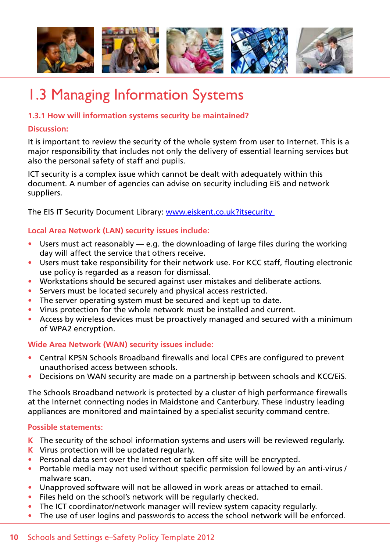

# 1.3 Managing Information Systems

# **1.3.1 How will information systems security be maintained?**

#### **Discussion:**

It is important to review the security of the whole system from user to Internet. This is a major responsibility that includes not only the delivery of essential learning services but also the personal safety of staff and pupils.

ICT security is a complex issue which cannot be dealt with adequately within this document. A number of agencies can advise on security including EiS and network suppliers.

The EIS IT Security Document Library: www.eiskent.co.uk?itsecurity

# **Local Area Network (LAN) security issues include:**

- Users must act reasonably  $-$  e.g. the downloading of large files during the working day will affect the service that others receive.
- Users must take responsibility for their network use. For KCC staff, flouting electronic use policy is regarded as a reason for dismissal.
- Workstations should be secured against user mistakes and deliberate actions.
- Servers must be located securely and physical access restricted.
- The server operating system must be secured and kept up to date.
- Virus protection for the whole network must be installed and current.
- Access by wireless devices must be proactively managed and secured with a minimum of WPA2 encryption.

# **Wide Area Network (WAN) security issues include:**

- Central KPSN Schools Broadband firewalls and local CPEs are configured to prevent unauthorised access between schools.
- Decisions on WAN security are made on a partnership between schools and KCC/EIS.

The Schools Broadband network is protected by a cluster of high performance firewalls at the Internet connecting nodes in Maidstone and Canterbury. These industry leading appliances are monitored and maintained by a specialist security command centre.

- **K** The security of the school information systems and users will be reviewed regularly.
- **K** Virus protection will be updated regularly.
- Personal data sent over the Internet or taken off site will be encrypted.
- Portable media may not used without specific permission followed by an anti-virus / malware scan.
- Unapproved software will not be allowed in work areas or attached to email.
- Files held on the school's network will be regularly checked.
- The ICT coordinator/network manager will review system capacity regularly.
- The use of user logins and passwords to access the school network will be enforced.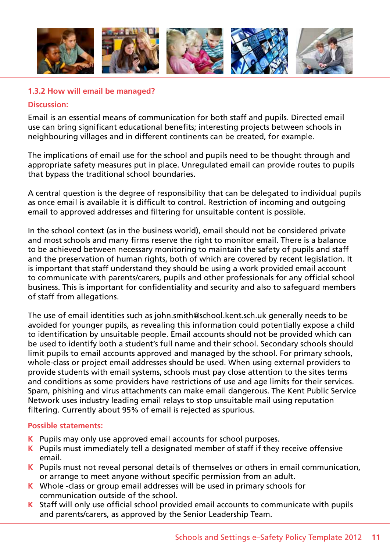

# **1.3.2 How will email be managed?**

#### **Discussion:**

Email is an essential means of communication for both staff and pupils. Directed email use can bring significant educational benefits; interesting projects between schools in neighbouring villages and in different continents can be created, for example.

The implications of email use for the school and pupils need to be thought through and appropriate safety measures put in place. Unregulated email can provide routes to pupils that bypass the traditional school boundaries.

A central question is the degree of responsibility that can be delegated to individual pupils as once email is available it is difficult to control. Restriction of incoming and outgoing email to approved addresses and filtering for unsuitable content is possible.

In the school context (as in the business world), email should not be considered private and most schools and many firms reserve the right to monitor email. There is a balance to be achieved between necessary monitoring to maintain the safety of pupils and staff and the preservation of human rights, both of which are covered by recent legislation. It is important that staff understand they should be using a work provided email account to communicate with parents/carers, pupils and other professionals for any official school business. This is important for confidentiality and security and also to safeguard members of staff from allegations.

The use of email identities such as john.smith@school.kent.sch.uk generally needs to be avoided for younger pupils, as revealing this information could potentially expose a child to identification by unsuitable people. Email accounts should not be provided which can be used to identify both a student's full name and their school. Secondary schools should limit pupils to email accounts approved and managed by the school. For primary schools, whole-class or project email addresses should be used. When using external providers to provide students with email systems, schools must pay close attention to the sites terms and conditions as some providers have restrictions of use and age limits for their services. Spam, phishing and virus attachments can make email dangerous. The Kent Public Service Network uses industry leading email relays to stop unsuitable mail using reputation filtering. Currently about 95% of email is rejected as spurious.

- **K** Pupils may only use approved email accounts for school purposes.
- **K** Pupils must immediately tell a designated member of staff if they receive offensive email.
- **K** Pupils must not reveal personal details of themselves or others in email communication, or arrange to meet anyone without specific permission from an adult.
- **K** Whole -class or group email addresses will be used in primary schools for communication outside of the school.
- **K** Staff will only use official school provided email accounts to communicate with pupils and parents/carers, as approved by the Senior Leadership Team.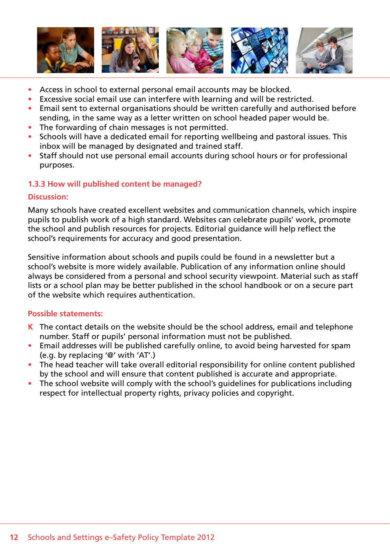

- Access in school to external personal email accounts may be blocked.
- Excessive social email use can interfere with learning and will be restricted.
- Email sent to external organisations should be written carefully and authorised before sending, in the same way as a letter written on school headed paper would be.
- The forwarding of chain messages is not permitted.
- Schools will have a dedicated email for reporting wellbeing and pastoral issues. This inbox will be managed by designated and trained staff.
- Staff should not use personal email accounts during school hours or for professional purposes.

# **1.3.3 How will published content be managed?**

# **Discussion:**

Many schools have created excellent websites and communication channels, which inspire pupils to publish work of a high standard. Websites can celebrate pupils' work, promote the school and publish resources for projects. Editorial guidance will help reflect the school's requirements for accuracy and good presentation.

Sensitive information about schools and pupils could be found in a newsletter but a school's website is more widely available. Publication of any information online should always be considered from a personal and school security viewpoint. Material such as staff lists or a school plan may be better published in the school handbook or on a secure part of the website which requires authentication.

- **K** The contact details on the website should be the school address, email and telephone number. Staff or pupils' personal information must not be published.
- Email addresses will be published carefully online, to avoid being harvested for spam (e.g. by replacing '@' with 'AT'.)
- The head teacher will take overall editorial responsibility for online content published by the school and will ensure that content published is accurate and appropriate.
- The school website will comply with the school's quidelines for publications including respect for intellectual property rights, privacy policies and copyright.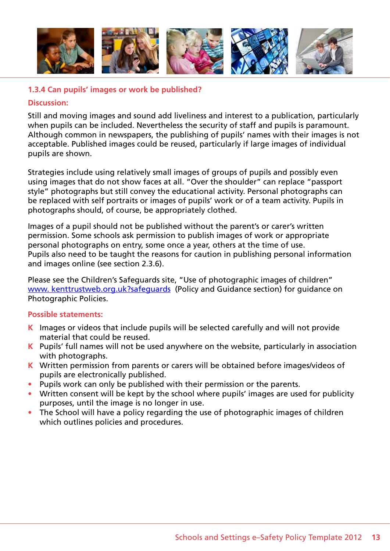

# **1.3.4 Can pupils' images or work be published?**

#### **Discussion:**

Still and moving images and sound add liveliness and interest to a publication, particularly when pupils can be included. Nevertheless the security of staff and pupils is paramount. Although common in newspapers, the publishing of pupils' names with their images is not acceptable. Published images could be reused, particularly if large images of individual pupils are shown.

Strategies include using relatively small images of groups of pupils and possibly even using images that do not show faces at all. "Over the shoulder" can replace "passport style" photographs but still convey the educational activity. Personal photographs can be replaced with self portraits or images of pupils' work or of a team activity. Pupils in photographs should, of course, be appropriately clothed.

Images of a pupil should not be published without the parent's or carer's written permission. Some schools ask permission to publish images of work or appropriate personal photographs on entry, some once a year, others at the time of use. Pupils also need to be taught the reasons for caution in publishing personal information and images online (see section 2.3.6).

Please see the Children's Safeguards site, "Use of photographic images of children" www. kenttrustweb.org.uk?safeguards (Policy and Guidance section) for guidance on Photographic Policies.

- **K** Images or videos that include pupils will be selected carefully and will not provide material that could be reused.
- **K** Pupils' full names will not be used anywhere on the website, particularly in association with photographs.
- **K** Written permission from parents or carers will be obtained before images/videos of pupils are electronically published.
- Pupils work can only be published with their permission or the parents.
- Written consent will be kept by the school where pupils' images are used for publicity purposes, until the image is no longer in use.
- The School will have a policy regarding the use of photographic images of children which outlines policies and procedures.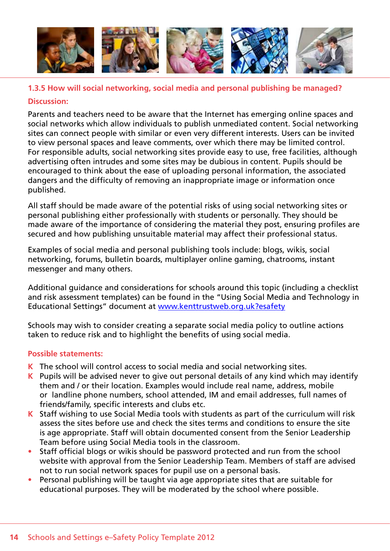

# **1.3.5 How will social networking, social media and personal publishing be managed? Discussion:**

Parents and teachers need to be aware that the Internet has emerging online spaces and social networks which allow individuals to publish unmediated content. Social networking sites can connect people with similar or even very different interests. Users can be invited to view personal spaces and leave comments, over which there may be limited control. For responsible adults, social networking sites provide easy to use, free facilities, although advertising often intrudes and some sites may be dubious in content. Pupils should be encouraged to think about the ease of uploading personal information, the associated dangers and the difficulty of removing an inappropriate image or information once published.

All staff should be made aware of the potential risks of using social networking sites or personal publishing either professionally with students or personally. They should be made aware of the importance of considering the material they post, ensuring profiles are secured and how publishing unsuitable material may affect their professional status.

Examples of social media and personal publishing tools include: blogs, wikis, social networking, forums, bulletin boards, multiplayer online gaming, chatrooms, instant messenger and many others.

Additional guidance and considerations for schools around this topic (including a checklist and risk assessment templates) can be found in the "Using Social Media and Technology in Educational Settings" document at www.kenttrustweb.org.uk?esafety

Schools may wish to consider creating a separate social media policy to outline actions taken to reduce risk and to highlight the benefits of using social media.

- **K** The school will control access to social media and social networking sites.
- **K** Pupils will be advised never to give out personal details of any kind which may identify them and / or their location. Examples would include real name, address, mobile or landline phone numbers, school attended, IM and email addresses, full names of friends/family, specific interests and clubs etc.
- **K** Staff wishing to use Social Media tools with students as part of the curriculum will risk assess the sites before use and check the sites terms and conditions to ensure the site is age appropriate. Staff will obtain documented consent from the Senior Leadership Team before using Social Media tools in the classroom.
- Staff official blogs or wikis should be password protected and run from the school website with approval from the Senior Leadership Team. Members of staff are advised not to run social network spaces for pupil use on a personal basis.
- Personal publishing will be taught via age appropriate sites that are suitable for educational purposes. They will be moderated by the school where possible.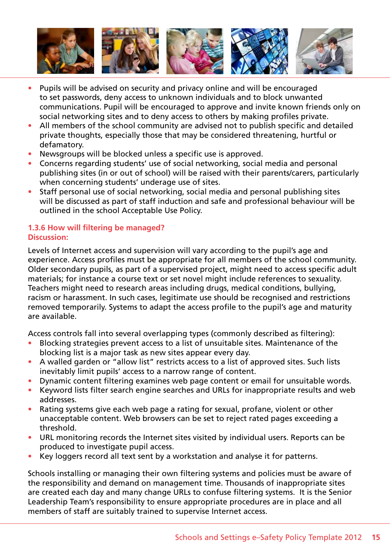

- Pupils will be advised on security and privacy online and will be encouraged to set passwords, deny access to unknown individuals and to block unwanted communications. Pupil will be encouraged to approve and invite known friends only on social networking sites and to deny access to others by making profiles private.
- All members of the school community are advised not to publish specific and detailed private thoughts, especially those that may be considered threatening, hurtful or defamatory.
- Newsgroups will be blocked unless a specific use is approved.
- Concerns regarding students' use of social networking, social media and personal publishing sites (in or out of school) will be raised with their parents/carers, particularly when concerning students' underage use of sites.
- Staff personal use of social networking, social media and personal publishing sites will be discussed as part of staff induction and safe and professional behaviour will be outlined in the school Acceptable Use Policy.

#### **1.3.6 How will filtering be managed? Discussion:**

Levels of Internet access and supervision will vary according to the pupil's age and experience. Access profiles must be appropriate for all members of the school community. Older secondary pupils, as part of a supervised project, might need to access specific adult materials; for instance a course text or set novel might include references to sexuality. Teachers might need to research areas including drugs, medical conditions, bullying, racism or harassment. In such cases, legitimate use should be recognised and restrictions removed temporarily. Systems to adapt the access profile to the pupil's age and maturity are available.

Access controls fall into several overlapping types (commonly described as filtering):

- Blocking strategies prevent access to a list of unsuitable sites. Maintenance of the blocking list is a major task as new sites appear every day.
- A walled garden or "allow list" restricts access to a list of approved sites. Such lists inevitably limit pupils' access to a narrow range of content.
- Dynamic content filtering examines web page content or email for unsuitable words.
- Keyword lists filter search engine searches and URLs for inappropriate results and web addresses.
- Rating systems give each web page a rating for sexual, profane, violent or other unacceptable content. Web browsers can be set to reject rated pages exceeding a threshold.
- URL monitoring records the Internet sites visited by individual users. Reports can be produced to investigate pupil access.
- Key loggers record all text sent by a workstation and analyse it for patterns.

Schools installing or managing their own filtering systems and policies must be aware of the responsibility and demand on management time. Thousands of inappropriate sites are created each day and many change URLs to confuse filtering systems. It is the Senior Leadership Team's responsibility to ensure appropriate procedures are in place and all members of staff are suitably trained to supervise Internet access.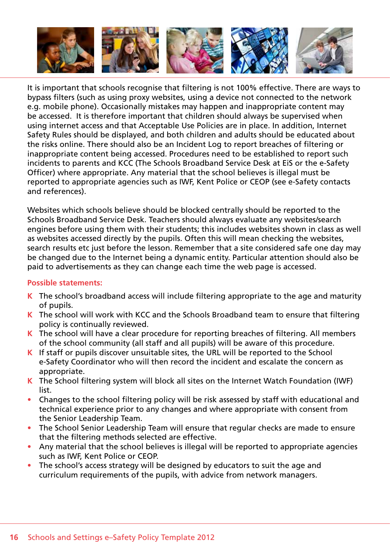

It is important that schools recognise that filtering is not 100% effective. There are ways to bypass filters (such as using proxy websites, using a device not connected to the network e.g. mobile phone). Occasionally mistakes may happen and inappropriate content may be accessed. It is therefore important that children should always be supervised when using internet access and that Acceptable Use Policies are in place. In addition, Internet Safety Rules should be displayed, and both children and adults should be educated about the risks online. There should also be an Incident Log to report breaches of filtering or inappropriate content being accessed. Procedures need to be established to report such incidents to parents and KCC (The Schools Broadband Service Desk at EiS or the e-Safety Officer) where appropriate. Any material that the school believes is illegal must be reported to appropriate agencies such as IWF, Kent Police or CEOP (see e-Safety contacts and references).

Websites which schools believe should be blocked centrally should be reported to the Schools Broadband Service Desk. Teachers should always evaluate any websites/search engines before using them with their students; this includes websites shown in class as well as websites accessed directly by the pupils. Often this will mean checking the websites, search results etc just before the lesson. Remember that a site considered safe one day may be changed due to the Internet being a dynamic entity. Particular attention should also be paid to advertisements as they can change each time the web page is accessed.

- **K** The school's broadband access will include filtering appropriate to the age and maturity of pupils.
- **K** The school will work with KCC and the Schools Broadband team to ensure that filtering policy is continually reviewed.
- **K** The school will have a clear procedure for reporting breaches of filtering. All members of the school community (all staff and all pupils) will be aware of this procedure.
- **K** If staff or pupils discover unsuitable sites, the URL will be reported to the School e-Safety Coordinator who will then record the incident and escalate the concern as appropriate.
- **K** The School filtering system will block all sites on the Internet Watch Foundation (IWF) list.
- Changes to the school filtering policy will be risk assessed by staff with educational and technical experience prior to any changes and where appropriate with consent from the Senior Leadership Team.
- The School Senior Leadership Team will ensure that regular checks are made to ensure that the filtering methods selected are effective.
- Any material that the school believes is illegal will be reported to appropriate agencies such as IWF, Kent Police or CEOP.
- The school's access strategy will be designed by educators to suit the age and curriculum requirements of the pupils, with advice from network managers.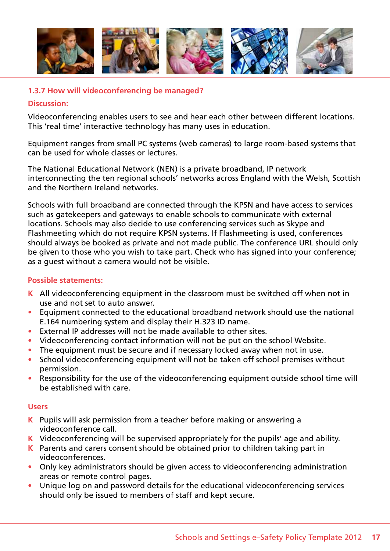

# **1.3.7 How will videoconferencing be managed?**

#### **Discussion:**

Videoconferencing enables users to see and hear each other between different locations. This 'real time' interactive technology has many uses in education.

Equipment ranges from small PC systems (web cameras) to large room-based systems that can be used for whole classes or lectures.

The National Educational Network (NEN) is a private broadband, IP network interconnecting the ten regional schools' networks across England with the Welsh, Scottish and the Northern Ireland networks.

Schools with full broadband are connected through the KPSN and have access to services such as gatekeepers and gateways to enable schools to communicate with external locations. Schools may also decide to use conferencing services such as Skype and Flashmeeting which do not require KPSN systems. If Flashmeeting is used, conferences should always be booked as private and not made public. The conference URL should only be given to those who you wish to take part. Check who has signed into your conference; as a guest without a camera would not be visible.

### **Possible statements:**

- **K** All videoconferencing equipment in the classroom must be switched off when not in use and not set to auto answer.
- Equipment connected to the educational broadband network should use the national E.164 numbering system and display their H.323 ID name.
- External IP addresses will not be made available to other sites.
- Videoconferencing contact information will not be put on the school Website.
- The equipment must be secure and if necessary locked away when not in use.
- School videoconferencing equipment will not be taken off school premises without permission.
- Responsibility for the use of the videoconferencing equipment outside school time will be established with care.

#### **Users**

- **K** Pupils will ask permission from a teacher before making or answering a videoconference call.
- **K** Videoconferencing will be supervised appropriately for the pupils' age and ability.
- **K** Parents and carers consent should be obtained prior to children taking part in videoconferences.
- Only key administrators should be given access to videoconferencing administration areas or remote control pages.
- Unique log on and password details for the educational videoconferencing services should only be issued to members of staff and kept secure.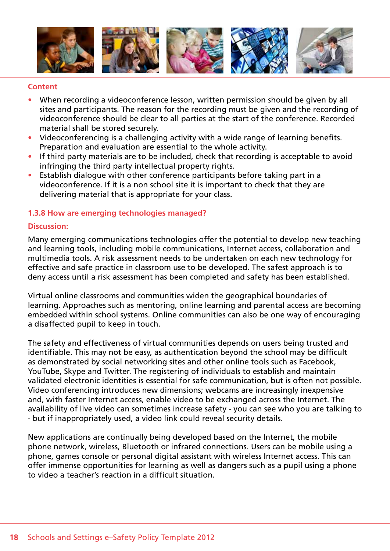

#### **Content**

- When recording a videoconference lesson, written permission should be given by all sites and participants. The reason for the recording must be given and the recording of videoconference should be clear to all parties at the start of the conference. Recorded material shall be stored securely.
- Videoconferencing is a challenging activity with a wide range of learning benefits. Preparation and evaluation are essential to the whole activity.
- If third party materials are to be included, check that recording is acceptable to avoid infringing the third party intellectual property rights.
- Establish dialogue with other conference participants before taking part in a videoconference. If it is a non school site it is important to check that they are delivering material that is appropriate for your class.

#### **1.3.8 How are emerging technologies managed?**

#### **Discussion:**

Many emerging communications technologies offer the potential to develop new teaching and learning tools, including mobile communications, Internet access, collaboration and multimedia tools. A risk assessment needs to be undertaken on each new technology for effective and safe practice in classroom use to be developed. The safest approach is to deny access until a risk assessment has been completed and safety has been established.

Virtual online classrooms and communities widen the geographical boundaries of learning. Approaches such as mentoring, online learning and parental access are becoming embedded within school systems. Online communities can also be one way of encouraging a disaffected pupil to keep in touch.

The safety and effectiveness of virtual communities depends on users being trusted and identifiable. This may not be easy, as authentication beyond the school may be difficult as demonstrated by social networking sites and other online tools such as Facebook, YouTube, Skype and Twitter. The registering of individuals to establish and maintain validated electronic identities is essential for safe communication, but is often not possible. Video conferencing introduces new dimensions; webcams are increasingly inexpensive and, with faster Internet access, enable video to be exchanged across the Internet. The availability of live video can sometimes increase safety - you can see who you are talking to - but if inappropriately used, a video link could reveal security details.

New applications are continually being developed based on the Internet, the mobile phone network, wireless, Bluetooth or infrared connections. Users can be mobile using a phone, games console or personal digital assistant with wireless Internet access. This can offer immense opportunities for learning as well as dangers such as a pupil using a phone to video a teacher's reaction in a difficult situation.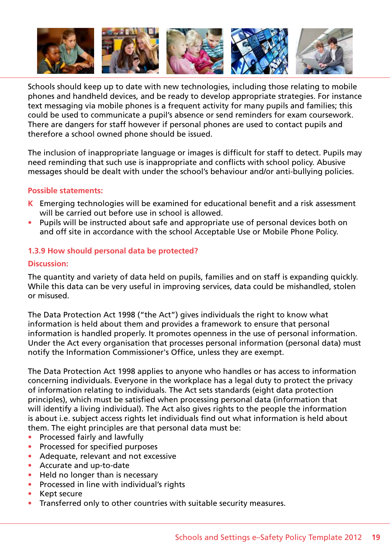

Schools should keep up to date with new technologies, including those relating to mobile phones and handheld devices, and be ready to develop appropriate strategies. For instance text messaging via mobile phones is a frequent activity for many pupils and families; this could be used to communicate a pupil's absence or send reminders for exam coursework. There are dangers for staff however if personal phones are used to contact pupils and therefore a school owned phone should be issued.

The inclusion of inappropriate language or images is difficult for staff to detect. Pupils may need reminding that such use is inappropriate and conflicts with school policy. Abusive messages should be dealt with under the school's behaviour and/or anti-bullying policies.

#### **Possible statements:**

- **K** Emerging technologies will be examined for educational benefit and a risk assessment will be carried out before use in school is allowed.
- Pupils will be instructed about safe and appropriate use of personal devices both on and off site in accordance with the school Acceptable Use or Mobile Phone Policy.

#### **1.3.9 How should personal data be protected?**

#### **Discussion:**

The quantity and variety of data held on pupils, families and on staff is expanding quickly. While this data can be very useful in improving services, data could be mishandled, stolen or misused.

The Data Protection Act 1998 ("the Act") gives individuals the right to know what information is held about them and provides a framework to ensure that personal information is handled properly. It promotes openness in the use of personal information. Under the Act every organisation that processes personal information (personal data) must notify the Information Commissioner's Office, unless they are exempt.

The Data Protection Act 1998 applies to anyone who handles or has access to information concerning individuals. Everyone in the workplace has a legal duty to protect the privacy of information relating to individuals. The Act sets standards (eight data protection principles), which must be satisfied when processing personal data (information that will identify a living individual). The Act also gives rights to the people the information is about i.e. subject access rights let individuals find out what information is held about them. The eight principles are that personal data must be:

- Processed fairly and lawfully
- Processed for specified purposes
- • Adequate, relevant and not excessive
- • Accurate and up-to-date
- Held no longer than is necessary
- Processed in line with individual's rights
- Kept secure
- Transferred only to other countries with suitable security measures.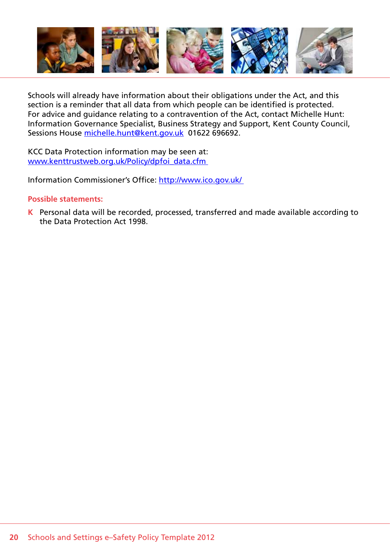

Schools will already have information about their obligations under the Act, and this section is a reminder that all data from which people can be identified is protected. For advice and guidance relating to a contravention of the Act, contact Michelle Hunt: Information Governance Specialist, Business Strategy and Support, Kent County Council, Sessions House michelle.hunt@kent.gov.uk 01622 696692.

KCC Data Protection information may be seen at: www.kenttrustweb.org.uk/Policy/dpfoi\_data.cfm

Information Commissioner's Office: http://www.ico.gov.uk/

#### **Possible statements:**

**K** Personal data will be recorded, processed, transferred and made available according to the Data Protection Act 1998.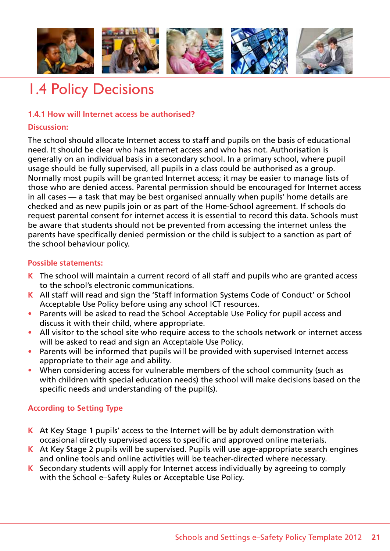

# 1.4 Policy Decisions

# **1.4.1 How will Internet access be authorised?**

### **Discussion:**

The school should allocate Internet access to staff and pupils on the basis of educational need. It should be clear who has Internet access and who has not. Authorisation is generally on an individual basis in a secondary school. In a primary school, where pupil usage should be fully supervised, all pupils in a class could be authorised as a group. Normally most pupils will be granted Internet access; it may be easier to manage lists of those who are denied access. Parental permission should be encouraged for Internet access in all cases — a task that may be best organised annually when pupils' home details are checked and as new pupils join or as part of the Home-School agreement. If schools do request parental consent for internet access it is essential to record this data. Schools must be aware that students should not be prevented from accessing the internet unless the parents have specifically denied permission or the child is subject to a sanction as part of the school behaviour policy.

#### **Possible statements:**

- **K** The school will maintain a current record of all staff and pupils who are granted access to the school's electronic communications.
- **K** All staff will read and sign the 'Staff Information Systems Code of Conduct' or School Acceptable Use Policy before using any school ICT resources.
- Parents will be asked to read the School Acceptable Use Policy for pupil access and discuss it with their child, where appropriate.
- All visitor to the school site who require access to the schools network or internet access will be asked to read and sign an Acceptable Use Policy.
- Parents will be informed that pupils will be provided with supervised Internet access appropriate to their age and ability.
- When considering access for vulnerable members of the school community (such as with children with special education needs) the school will make decisions based on the specific needs and understanding of the pupil(s).

# **According to Setting Type**

- **K** At Key Stage 1 pupils' access to the Internet will be by adult demonstration with occasional directly supervised access to specific and approved online materials.
- **K** At Key Stage 2 pupils will be supervised. Pupils will use age-appropriate search engines and online tools and online activities will be teacher-directed where necessary.
- **K** Secondary students will apply for Internet access individually by agreeing to comply with the School e–Safety Rules or Acceptable Use Policy.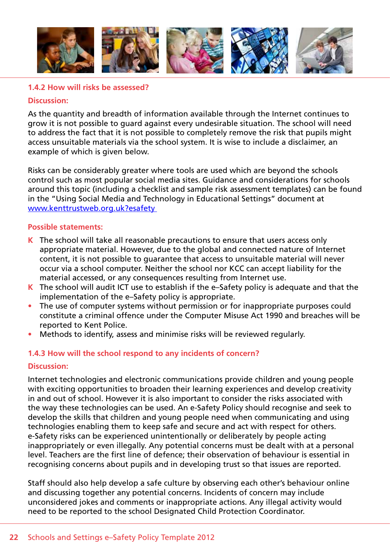

#### **1.4.2 How will risks be assessed?**

#### **Discussion:**

As the quantity and breadth of information available through the Internet continues to grow it is not possible to guard against every undesirable situation. The school will need to address the fact that it is not possible to completely remove the risk that pupils might access unsuitable materials via the school system. It is wise to include a disclaimer, an example of which is given below.

Risks can be considerably greater where tools are used which are beyond the schools control such as most popular social media sites. Guidance and considerations for schools around this topic (including a checklist and sample risk assessment templates) can be found in the "Using Social Media and Technology in Educational Settings" document at www.kenttrustweb.org.uk?esafety

#### **Possible statements:**

- **K** The school will take all reasonable precautions to ensure that users access only appropriate material. However, due to the global and connected nature of Internet content, it is not possible to guarantee that access to unsuitable material will never occur via a school computer. Neither the school nor KCC can accept liability for the material accessed, or any consequences resulting from Internet use.
- **K** The school will audit ICT use to establish if the e–Safety policy is adequate and that the implementation of the e–Safety policy is appropriate.
- The use of computer systems without permission or for inappropriate purposes could constitute a criminal offence under the Computer Misuse Act 1990 and breaches will be reported to Kent Police.
- Methods to identify, assess and minimise risks will be reviewed regularly.

#### **1.4.3 How will the school respond to any incidents of concern?**

#### **Discussion:**

Internet technologies and electronic communications provide children and young people with exciting opportunities to broaden their learning experiences and develop creativity in and out of school. However it is also important to consider the risks associated with the way these technologies can be used. An e-Safety Policy should recognise and seek to develop the skills that children and young people need when communicating and using technologies enabling them to keep safe and secure and act with respect for others. e-Safety risks can be experienced unintentionally or deliberately by people acting inappropriately or even illegally. Any potential concerns must be dealt with at a personal level. Teachers are the first line of defence; their observation of behaviour is essential in recognising concerns about pupils and in developing trust so that issues are reported.

Staff should also help develop a safe culture by observing each other's behaviour online and discussing together any potential concerns. Incidents of concern may include unconsidered jokes and comments or inappropriate actions. Any illegal activity would need to be reported to the school Designated Child Protection Coordinator.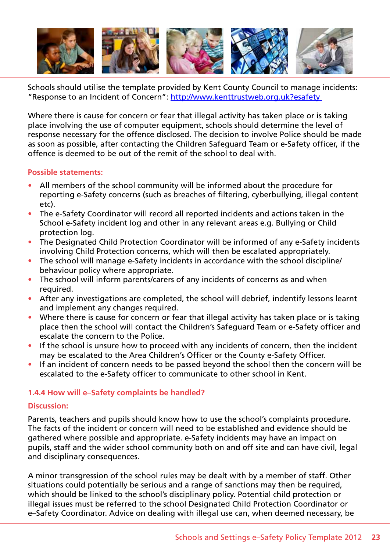

Schools should utilise the template provided by Kent County Council to manage incidents: "Response to an Incident of Concern": http://www.kenttrustweb.org.uk?esafety

Where there is cause for concern or fear that illegal activity has taken place or is taking place involving the use of computer equipment, schools should determine the level of response necessary for the offence disclosed. The decision to involve Police should be made as soon as possible, after contacting the Children Safeguard Team or e-Safety officer, if the offence is deemed to be out of the remit of the school to deal with.

#### **Possible statements:**

- All members of the school community will be informed about the procedure for reporting e-Safety concerns (such as breaches of filtering, cyberbullying, illegal content etc).
- The e-Safety Coordinator will record all reported incidents and actions taken in the School e-Safety incident log and other in any relevant areas e.g. Bullying or Child protection log.
- The Designated Child Protection Coordinator will be informed of any e-Safety incidents involving Child Protection concerns, which will then be escalated appropriately.
- The school will manage e-Safety incidents in accordance with the school discipline/ behaviour policy where appropriate.
- The school will inform parents/carers of any incidents of concerns as and when required.
- After any investigations are completed, the school will debrief, indentify lessons learnt and implement any changes required.
- Where there is cause for concern or fear that illegal activity has taken place or is taking place then the school will contact the Children's Safeguard Team or e-Safety officer and escalate the concern to the Police.
- If the school is unsure how to proceed with any incidents of concern, then the incident may be escalated to the Area Children's Officer or the County e-Safety Officer.
- If an incident of concern needs to be passed beyond the school then the concern will be escalated to the e-Safety officer to communicate to other school in Kent.

# **1.4.4 How will e–Safety complaints be handled?**

#### **Discussion:**

Parents, teachers and pupils should know how to use the school's complaints procedure. The facts of the incident or concern will need to be established and evidence should be gathered where possible and appropriate. e-Safety incidents may have an impact on pupils, staff and the wider school community both on and off site and can have civil, legal and disciplinary consequences.

A minor transgression of the school rules may be dealt with by a member of staff. Other situations could potentially be serious and a range of sanctions may then be required, which should be linked to the school's disciplinary policy. Potential child protection or illegal issues must be referred to the school Designated Child Protection Coordinator or e–Safety Coordinator. Advice on dealing with illegal use can, when deemed necessary, be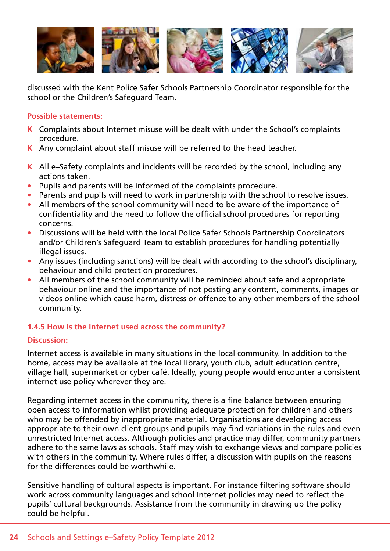

discussed with the Kent Police Safer Schools Partnership Coordinator responsible for the school or the Children's Safeguard Team.

### **Possible statements:**

- **K** Complaints about Internet misuse will be dealt with under the School's complaints procedure.
- **K** Any complaint about staff misuse will be referred to the head teacher.
- **K** All e–Safety complaints and incidents will be recorded by the school, including any actions taken.
- Pupils and parents will be informed of the complaints procedure.
- Parents and pupils will need to work in partnership with the school to resolve issues.
- All members of the school community will need to be aware of the importance of confidentiality and the need to follow the official school procedures for reporting concerns.
- Discussions will be held with the local Police Safer Schools Partnership Coordinators and/or Children's Safeguard Team to establish procedures for handling potentially illegal issues.
- Any issues (including sanctions) will be dealt with according to the school's disciplinary, behaviour and child protection procedures.
- All members of the school community will be reminded about safe and appropriate behaviour online and the importance of not posting any content, comments, images or videos online which cause harm, distress or offence to any other members of the school community.

# **1.4.5 How is the Internet used across the community?**

#### **Discussion:**

Internet access is available in many situations in the local community. In addition to the home, access may be available at the local library, youth club, adult education centre, village hall, supermarket or cyber café. Ideally, young people would encounter a consistent internet use policy wherever they are.

Regarding internet access in the community, there is a fine balance between ensuring open access to information whilst providing adequate protection for children and others who may be offended by inappropriate material. Organisations are developing access appropriate to their own client groups and pupils may find variations in the rules and even unrestricted Internet access. Although policies and practice may differ, community partners adhere to the same laws as schools. Staff may wish to exchange views and compare policies with others in the community. Where rules differ, a discussion with pupils on the reasons for the differences could be worthwhile.

Sensitive handling of cultural aspects is important. For instance filtering software should work across community languages and school Internet policies may need to reflect the pupils' cultural backgrounds. Assistance from the community in drawing up the policy could be helpful.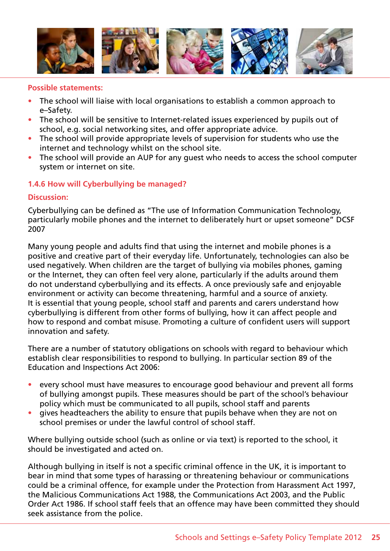

#### **Possible statements:**

- The school will liaise with local organisations to establish a common approach to e–Safety.
- The school will be sensitive to Internet-related issues experienced by pupils out of school, e.g. social networking sites, and offer appropriate advice.
- The school will provide appropriate levels of supervision for students who use the internet and technology whilst on the school site.
- The school will provide an AUP for any quest who needs to access the school computer system or internet on site.

# **1.4.6 How will Cyberbullying be managed?**

#### **Discussion:**

Cyberbullying can be defined as "The use of Information Communication Technology, particularly mobile phones and the internet to deliberately hurt or upset someone" DCSF 2007

Many young people and adults find that using the internet and mobile phones is a positive and creative part of their everyday life. Unfortunately, technologies can also be used negatively. When children are the target of bullying via mobiles phones, gaming or the Internet, they can often feel very alone, particularly if the adults around them do not understand cyberbullying and its effects. A once previously safe and enjoyable environment or activity can become threatening, harmful and a source of anxiety. It is essential that young people, school staff and parents and carers understand how cyberbullying is different from other forms of bullying, how it can affect people and how to respond and combat misuse. Promoting a culture of confident users will support innovation and safety.

There are a number of statutory obligations on schools with regard to behaviour which establish clear responsibilities to respond to bullying. In particular section 89 of the Education and Inspections Act 2006:

- every school must have measures to encourage good behaviour and prevent all forms of bullying amongst pupils. These measures should be part of the school's behaviour policy which must be communicated to all pupils, school staff and parents
- gives headteachers the ability to ensure that pupils behave when they are not on school premises or under the lawful control of school staff.

Where bullying outside school (such as online or via text) is reported to the school, it should be investigated and acted on.

Although bullying in itself is not a specific criminal offence in the UK, it is important to bear in mind that some types of harassing or threatening behaviour or communications could be a criminal offence, for example under the Protection from Harassment Act 1997, the Malicious Communications Act 1988, the Communications Act 2003, and the Public Order Act 1986. If school staff feels that an offence may have been committed they should seek assistance from the police.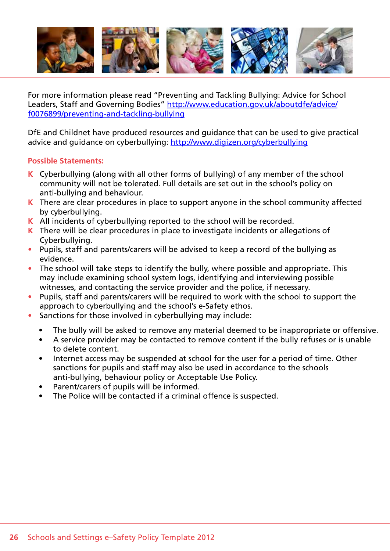

For more information please read "Preventing and Tackling Bullying: Advice for School Leaders, Staff and Governing Bodies" http://www.education.gov.uk/aboutdfe/advice/ f0076899/preventing-and-tackling-bullying

DfE and Childnet have produced resources and guidance that can be used to give practical advice and guidance on cyberbullying: http://www.digizen.org/cyberbullying

- **K** Cyberbullying (along with all other forms of bullying) of any member of the school community will not be tolerated. Full details are set out in the school's policy on anti-bullying and behaviour.
- **K** There are clear procedures in place to support anyone in the school community affected by cyberbullying.
- **K** All incidents of cyberbullying reported to the school will be recorded.
- **K** There will be clear procedures in place to investigate incidents or allegations of Cyberbullying.
- Pupils, staff and parents/carers will be advised to keep a record of the bullying as evidence.
- The school will take steps to identify the bully, where possible and appropriate. This may include examining school system logs, identifying and interviewing possible witnesses, and contacting the service provider and the police, if necessary.
- Pupils, staff and parents/carers will be required to work with the school to support the approach to cyberbullying and the school's e-Safety ethos.
- Sanctions for those involved in cyberbullying may include:
	- The bully will be asked to remove any material deemed to be inappropriate or offensive.
	- A service provider may be contacted to remove content if the bully refuses or is unable to delete content.
	- Internet access may be suspended at school for the user for a period of time. Other sanctions for pupils and staff may also be used in accordance to the schools anti-bullying, behaviour policy or Acceptable Use Policy.
	- Parent/carers of pupils will be informed.
	- The Police will be contacted if a criminal offence is suspected.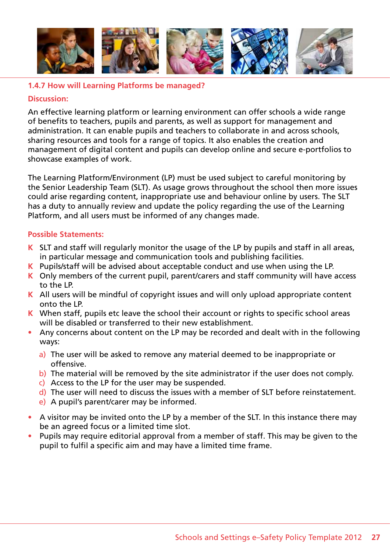

### **1.4.7 How will Learning Platforms be managed?**

#### **Discussion:**

An effective learning platform or learning environment can offer schools a wide range of benefits to teachers, pupils and parents, as well as support for management and administration. It can enable pupils and teachers to collaborate in and across schools, sharing resources and tools for a range of topics. It also enables the creation and management of digital content and pupils can develop online and secure e-portfolios to showcase examples of work.

The Learning Platform/Environment (LP) must be used subject to careful monitoring by the Senior Leadership Team (SLT). As usage grows throughout the school then more issues could arise regarding content, inappropriate use and behaviour online by users. The SLT has a duty to annually review and update the policy regarding the use of the Learning Platform, and all users must be informed of any changes made.

- **K** SLT and staff will regularly monitor the usage of the LP by pupils and staff in all areas, in particular message and communication tools and publishing facilities.
- **K** Pupils/staff will be advised about acceptable conduct and use when using the LP.
- **K** Only members of the current pupil, parent/carers and staff community will have access to the LP.
- **K** All users will be mindful of copyright issues and will only upload appropriate content onto the LP.
- **K** When staff, pupils etc leave the school their account or rights to specific school areas will be disabled or transferred to their new establishment.
- Any concerns about content on the LP may be recorded and dealt with in the following ways:
	- a) The user will be asked to remove any material deemed to be inappropriate or offensive.
	- b) The material will be removed by the site administrator if the user does not comply.
	- c) Access to the LP for the user may be suspended.
	- d) The user will need to discuss the issues with a member of SLT before reinstatement.
	- e) A pupil's parent/carer may be informed.
- A visitor may be invited onto the LP by a member of the SLT. In this instance there may be an agreed focus or a limited time slot.
- Pupils may require editorial approval from a member of staff. This may be given to the pupil to fulfil a specific aim and may have a limited time frame.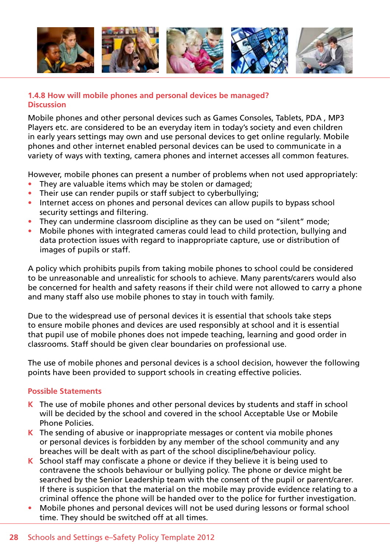

# **1.4.8 How will mobile phones and personal devices be managed? Discussion**

Mobile phones and other personal devices such as Games Consoles, Tablets, PDA , MP3 Players etc. are considered to be an everyday item in today's society and even children in early years settings may own and use personal devices to get online regularly. Mobile phones and other internet enabled personal devices can be used to communicate in a variety of ways with texting, camera phones and internet accesses all common features.

However, mobile phones can present a number of problems when not used appropriately:

- They are valuable items which may be stolen or damaged;
- Their use can render pupils or staff subject to cyberbullying;
- Internet access on phones and personal devices can allow pupils to bypass school security settings and filtering.
- They can undermine classroom discipline as they can be used on "silent" mode;
- Mobile phones with integrated cameras could lead to child protection, bullying and data protection issues with regard to inappropriate capture, use or distribution of images of pupils or staff.

A policy which prohibits pupils from taking mobile phones to school could be considered to be unreasonable and unrealistic for schools to achieve. Many parents/carers would also be concerned for health and safety reasons if their child were not allowed to carry a phone and many staff also use mobile phones to stay in touch with family.

Due to the widespread use of personal devices it is essential that schools take steps to ensure mobile phones and devices are used responsibly at school and it is essential that pupil use of mobile phones does not impede teaching, learning and good order in classrooms. Staff should be given clear boundaries on professional use.

The use of mobile phones and personal devices is a school decision, however the following points have been provided to support schools in creating effective policies.

- **K** The use of mobile phones and other personal devices by students and staff in school will be decided by the school and covered in the school Acceptable Use or Mobile Phone Policies.
- **K** The sending of abusive or inappropriate messages or content via mobile phones or personal devices is forbidden by any member of the school community and any breaches will be dealt with as part of the school discipline/behaviour policy.
- **K** School staff may confiscate a phone or device if they believe it is being used to contravene the schools behaviour or bullying policy. The phone or device might be searched by the Senior Leadership team with the consent of the pupil or parent/carer. If there is suspicion that the material on the mobile may provide evidence relating to a criminal offence the phone will be handed over to the police for further investigation.
- Mobile phones and personal devices will not be used during lessons or formal school time. They should be switched off at all times.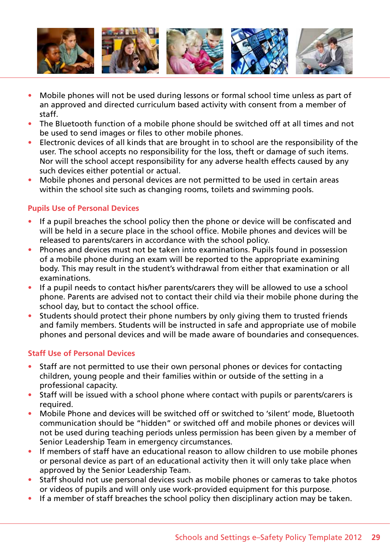

- Mobile phones will not be used during lessons or formal school time unless as part of an approved and directed curriculum based activity with consent from a member of staff.
- The Bluetooth function of a mobile phone should be switched off at all times and not be used to send images or files to other mobile phones.
- Electronic devices of all kinds that are brought in to school are the responsibility of the user. The school accepts no responsibility for the loss, theft or damage of such items. Nor will the school accept responsibility for any adverse health effects caused by any such devices either potential or actual.
- Mobile phones and personal devices are not permitted to be used in certain areas within the school site such as changing rooms, toilets and swimming pools.

# **Pupils Use of Personal Devices**

- If a pupil breaches the school policy then the phone or device will be confiscated and will be held in a secure place in the school office. Mobile phones and devices will be released to parents/carers in accordance with the school policy.
- Phones and devices must not be taken into examinations. Pupils found in possession of a mobile phone during an exam will be reported to the appropriate examining body. This may result in the student's withdrawal from either that examination or all examinations.
- If a pupil needs to contact his/her parents/carers they will be allowed to use a school phone. Parents are advised not to contact their child via their mobile phone during the school day, but to contact the school office.
- Students should protect their phone numbers by only giving them to trusted friends and family members. Students will be instructed in safe and appropriate use of mobile phones and personal devices and will be made aware of boundaries and consequences.

# **Staff Use of Personal Devices**

- Staff are not permitted to use their own personal phones or devices for contacting children, young people and their families within or outside of the setting in a professional capacity.
- Staff will be issued with a school phone where contact with pupils or parents/carers is required.
- Mobile Phone and devices will be switched off or switched to 'silent' mode. Bluetooth communication should be "hidden" or switched off and mobile phones or devices will not be used during teaching periods unless permission has been given by a member of Senior Leadership Team in emergency circumstances.
- If members of staff have an educational reason to allow children to use mobile phones or personal device as part of an educational activity then it will only take place when approved by the Senior Leadership Team.
- Staff should not use personal devices such as mobile phones or cameras to take photos or videos of pupils and will only use work-provided equipment for this purpose.
- If a member of staff breaches the school policy then disciplinary action may be taken.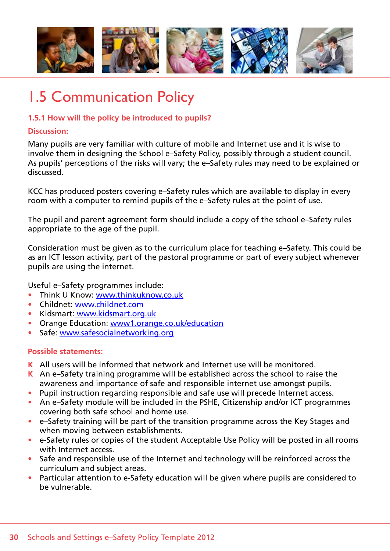

# 1.5 Communication Policy

# **1.5.1 How will the policy be introduced to pupils?**

# **Discussion:**

Many pupils are very familiar with culture of mobile and Internet use and it is wise to involve them in designing the School e–Safety Policy, possibly through a student council. As pupils' perceptions of the risks will vary; the e–Safety rules may need to be explained or discussed.

KCC has produced posters covering e–Safety rules which are available to display in every room with a computer to remind pupils of the e–Safety rules at the point of use.

The pupil and parent agreement form should include a copy of the school e–Safety rules appropriate to the age of the pupil.

Consideration must be given as to the curriculum place for teaching e–Safety. This could be as an ICT lesson activity, part of the pastoral programme or part of every subject whenever pupils are using the internet.

Useful e–Safety programmes include:

- Think U Know: www.thinkuknow.co.uk
- • Childnet: www.childnet.com
- • Kidsmart: www.kidsmart.org.uk
- Orange Education: www1.orange.co.uk/education
- Safe: www.safesocialnetworking.org

- **K** All users will be informed that network and Internet use will be monitored.
- **K** An e–Safety training programme will be established across the school to raise the awareness and importance of safe and responsible internet use amongst pupils.
- Pupil instruction regarding responsible and safe use will precede Internet access.
- An e-Safety module will be included in the PSHE, Citizenship and/or ICT programmes covering both safe school and home use.
- • e–Safety training will be part of the transition programme across the Key Stages and when moving between establishments.
- e-Safety rules or copies of the student Acceptable Use Policy will be posted in all rooms with Internet access.
- Safe and responsible use of the Internet and technology will be reinforced across the curriculum and subject areas.
- Particular attention to e-Safety education will be given where pupils are considered to be vulnerable.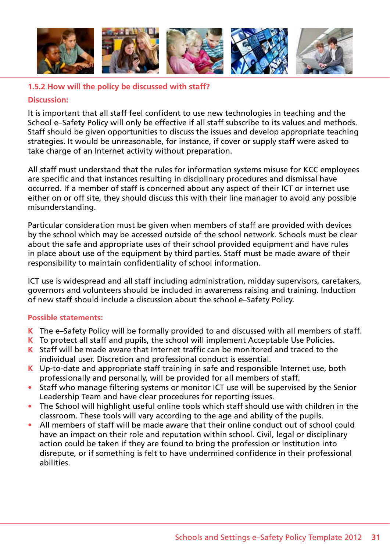

# **1.5.2 How will the policy be discussed with staff?**

### **Discussion:**

It is important that all staff feel confident to use new technologies in teaching and the School e–Safety Policy will only be effective if all staff subscribe to its values and methods. Staff should be given opportunities to discuss the issues and develop appropriate teaching strategies. It would be unreasonable, for instance, if cover or supply staff were asked to take charge of an Internet activity without preparation.

All staff must understand that the rules for information systems misuse for KCC employees are specific and that instances resulting in disciplinary procedures and dismissal have occurred. If a member of staff is concerned about any aspect of their ICT or internet use either on or off site, they should discuss this with their line manager to avoid any possible misunderstanding.

Particular consideration must be given when members of staff are provided with devices by the school which may be accessed outside of the school network. Schools must be clear about the safe and appropriate uses of their school provided equipment and have rules in place about use of the equipment by third parties. Staff must be made aware of their responsibility to maintain confidentiality of school information.

ICT use is widespread and all staff including administration, midday supervisors, caretakers, governors and volunteers should be included in awareness raising and training. Induction of new staff should include a discussion about the school e–Safety Policy.

- **K** The e–Safety Policy will be formally provided to and discussed with all members of staff.
- **K** To protect all staff and pupils, the school will implement Acceptable Use Policies.
- **K** Staff will be made aware that Internet traffic can be monitored and traced to the individual user. Discretion and professional conduct is essential.
- **K** Up-to-date and appropriate staff training in safe and responsible Internet use, both professionally and personally, will be provided for all members of staff.
- Staff who manage filtering systems or monitor ICT use will be supervised by the Senior Leadership Team and have clear procedures for reporting issues.
- The School will highlight useful online tools which staff should use with children in the classroom. These tools will vary according to the age and ability of the pupils.
- All members of staff will be made aware that their online conduct out of school could have an impact on their role and reputation within school. Civil, legal or disciplinary action could be taken if they are found to bring the profession or institution into disrepute, or if something is felt to have undermined confidence in their professional abilities.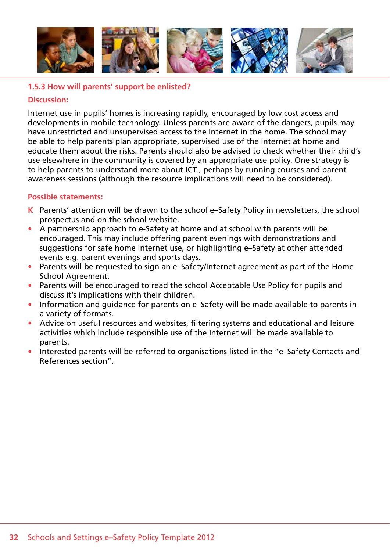

### **1.5.3 How will parents' support be enlisted?**

#### **Discussion:**

Internet use in pupils' homes is increasing rapidly, encouraged by low cost access and developments in mobile technology. Unless parents are aware of the dangers, pupils may have unrestricted and unsupervised access to the Internet in the home. The school may be able to help parents plan appropriate, supervised use of the Internet at home and educate them about the risks. Parents should also be advised to check whether their child's use elsewhere in the community is covered by an appropriate use policy. One strategy is to help parents to understand more about ICT , perhaps by running courses and parent awareness sessions (although the resource implications will need to be considered).

- **K** Parents' attention will be drawn to the school e–Safety Policy in newsletters, the school prospectus and on the school website.
- A partnership approach to e-Safety at home and at school with parents will be encouraged. This may include offering parent evenings with demonstrations and suggestions for safe home Internet use, or highlighting e–Safety at other attended events e.g. parent evenings and sports days.
- Parents will be requested to sign an e-Safety/Internet agreement as part of the Home School Agreement.
- Parents will be encouraged to read the school Acceptable Use Policy for pupils and discuss it's implications with their children.
- Information and quidance for parents on e–Safety will be made available to parents in a variety of formats.
- Advice on useful resources and websites, filtering systems and educational and leisure activities which include responsible use of the Internet will be made available to parents.
- Interested parents will be referred to organisations listed in the "e-Safety Contacts and References section".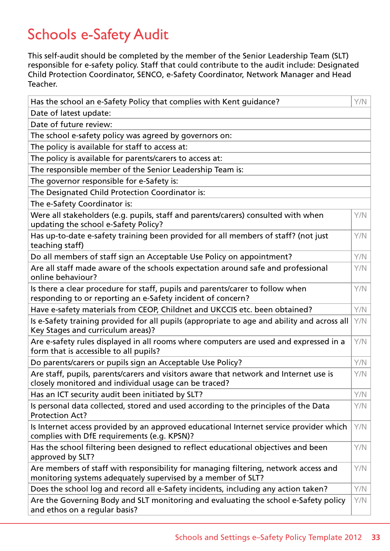# Schools e-Safety Audit

This self-audit should be completed by the member of the Senior Leadership Team (SLT) responsible for e-safety policy. Staff that could contribute to the audit include: Designated Child Protection Coordinator, SENCO, e-Safety Coordinator, Network Manager and Head Teacher.

| Has the school an e-Safety Policy that complies with Kent guidance?                                                                                 | Y/N |
|-----------------------------------------------------------------------------------------------------------------------------------------------------|-----|
| Date of latest update:                                                                                                                              |     |
| Date of future review:                                                                                                                              |     |
| The school e-safety policy was agreed by governors on:                                                                                              |     |
| The policy is available for staff to access at:                                                                                                     |     |
| The policy is available for parents/carers to access at:                                                                                            |     |
| The responsible member of the Senior Leadership Team is:                                                                                            |     |
| The governor responsible for e-Safety is:                                                                                                           |     |
| The Designated Child Protection Coordinator is:                                                                                                     |     |
| The e-Safety Coordinator is:                                                                                                                        |     |
| Were all stakeholders (e.g. pupils, staff and parents/carers) consulted with when<br>updating the school e-Safety Policy?                           | Y/N |
| Has up-to-date e-safety training been provided for all members of staff? (not just<br>teaching staff)                                               | Y/N |
| Do all members of staff sign an Acceptable Use Policy on appointment?                                                                               | Y/N |
| Are all staff made aware of the schools expectation around safe and professional<br>online behaviour?                                               | Y/N |
| Is there a clear procedure for staff, pupils and parents/carer to follow when<br>responding to or reporting an e-Safety incident of concern?        | Y/N |
| Have e-safety materials from CEOP, Childnet and UKCCIS etc. been obtained?                                                                          | Y/N |
| Is e-Safety training provided for all pupils (appropriate to age and ability and across all<br>Key Stages and curriculum areas)?                    | Y/N |
| Are e-safety rules displayed in all rooms where computers are used and expressed in a<br>form that is accessible to all pupils?                     | Y/N |
| Do parents/carers or pupils sign an Acceptable Use Policy?                                                                                          | Y/N |
| Are staff, pupils, parents/carers and visitors aware that network and Internet use is<br>closely monitored and individual usage can be traced?      | Y/N |
| Has an ICT security audit been initiated by SLT?                                                                                                    | Y/N |
| Is personal data collected, stored and used according to the principles of the Data<br><b>Protection Act?</b>                                       | Y/N |
| Is Internet access provided by an approved educational Internet service provider which<br>complies with DfE requirements (e.g. KPSN)?               | Y/N |
| Has the school filtering been designed to reflect educational objectives and been<br>approved by SLT?                                               | Y/N |
| Are members of staff with responsibility for managing filtering, network access and<br>monitoring systems adequately supervised by a member of SLT? | Y/N |
| Does the school log and record all e-Safety incidents, including any action taken?                                                                  | Y/N |
| Are the Governing Body and SLT monitoring and evaluating the school e-Safety policy<br>and ethos on a regular basis?                                | Y/N |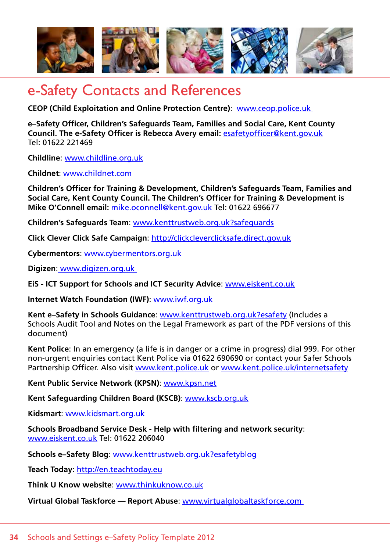

# e-Safety Contacts and References

**CEOP (Child Exploitation and Online Protection Centre)**: www.ceop.police.uk

**e–Safety Officer, Children's Safeguards Team, Families and Social Care, Kent County Council. The e-Safety Officer is Rebecca Avery email:** esafetyofficer@kent.gov.uk Tel: 01622 221469

**Childline**: www.childline.org.uk

**Childnet**: www.childnet.com

**Children's Officer for Training & Development, Children's Safeguards Team, Families and Social Care, Kent County Council. The Children's Officer for Training & Development is Mike O'Connell email:** mike.oconnell@kent.gov.uk Tel: 01622 696677

**Children's Safeguards Team**: www.kenttrustweb.org.uk?safeguards

**Click Clever Click Safe Campaign**: http://clickcleverclicksafe.direct.gov.uk

**Cybermentors**: www.cybermentors.org.uk

**Digizen**: www.digizen.org.uk

**EiS - ICT Support for Schools and ICT Security Advice**: www.eiskent.co.uk

**Internet Watch Foundation (IWF)**: www.iwf.org.uk

**Kent e–Safety in Schools Guidance**: www.kenttrustweb.org.uk?esafety (Includes a Schools Audit Tool and Notes on the Legal Framework as part of the PDF versions of this document)

**Kent Police**: In an emergency (a life is in danger or a crime in progress) dial 999. For other non-urgent enquiries contact Kent Police via 01622 690690 or contact your Safer Schools Partnership Officer. Also visit www.kent.police.uk or www.kent.police.uk/internetsafety

**Kent Public Service Network (KPSN)**: www.kpsn.net

**Kent Safeguarding Children Board (KSCB)**: www.kscb.org.uk

**Kidsmart**: www.kidsmart.org.uk

**Schools Broadband Service Desk - Help with filtering and network security**: www.eiskent.co.uk Tel: 01622 206040

**Schools e–Safety Blog**: www.kenttrustweb.org.uk?esafetyblog

**Teach Today**: http://en.teachtoday.eu

**Think U Know website**: www.thinkuknow.co.uk

**Virtual Global Taskforce — Report Abuse**: www.virtualglobaltaskforce.com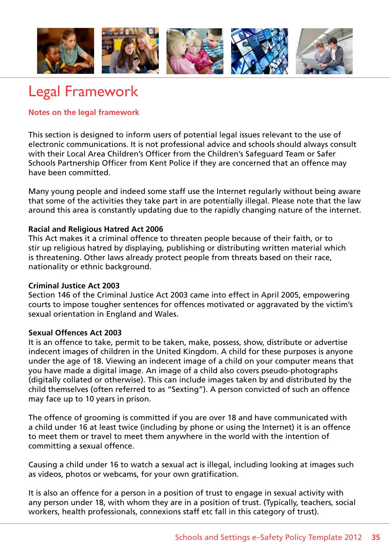

# Legal Framework

# **Notes on the legal framework**

This section is designed to inform users of potential legal issues relevant to the use of electronic communications. It is not professional advice and schools should always consult with their Local Area Children's Officer from the Children's Safeguard Team or Safer Schools Partnership Officer from Kent Police if they are concerned that an offence may have been committed.

Many young people and indeed some staff use the Internet regularly without being aware that some of the activities they take part in are potentially illegal. Please note that the law around this area is constantly updating due to the rapidly changing nature of the internet.

# **Racial and Religious Hatred Act 2006**

This Act makes it a criminal offence to threaten people because of their faith, or to stir up religious hatred by displaying, publishing or distributing written material which is threatening. Other laws already protect people from threats based on their race, nationality or ethnic background.

# **Criminal Justice Act 2003**

Section 146 of the Criminal Justice Act 2003 came into effect in April 2005, empowering courts to impose tougher sentences for offences motivated or aggravated by the victim's sexual orientation in England and Wales.

# **Sexual Offences Act 2003**

It is an offence to take, permit to be taken, make, possess, show, distribute or advertise indecent images of children in the United Kingdom. A child for these purposes is anyone under the age of 18. Viewing an indecent image of a child on your computer means that you have made a digital image. An image of a child also covers pseudo-photographs (digitally collated or otherwise). This can include images taken by and distributed by the child themselves (often referred to as "Sexting"). A person convicted of such an offence may face up to 10 years in prison.

The offence of grooming is committed if you are over 18 and have communicated with a child under 16 at least twice (including by phone or using the Internet) it is an offence to meet them or travel to meet them anywhere in the world with the intention of committing a sexual offence.

Causing a child under 16 to watch a sexual act is illegal, including looking at images such as videos, photos or webcams, for your own gratification.

It is also an offence for a person in a position of trust to engage in sexual activity with any person under 18, with whom they are in a position of trust. (Typically, teachers, social workers, health professionals, connexions staff etc fall in this category of trust).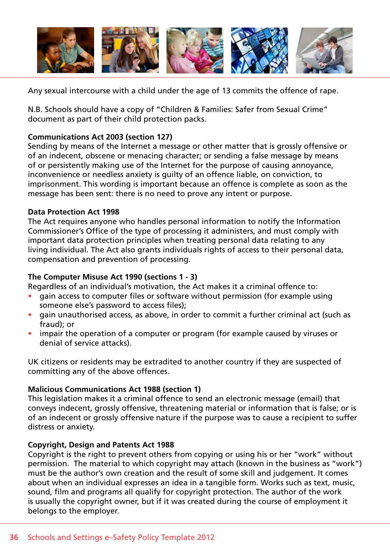

Any sexual intercourse with a child under the age of 13 commits the offence of rape.

N.B. Schools should have a copy of "Children & Families: Safer from Sexual Crime" document as part of their child protection packs.

# **Communications Act 2003 (section 127)**

Sending by means of the Internet a message or other matter that is grossly offensive or of an indecent, obscene or menacing character; or sending a false message by means of or persistently making use of the Internet for the purpose of causing annoyance, inconvenience or needless anxiety is guilty of an offence liable, on conviction, to imprisonment. This wording is important because an offence is complete as soon as the message has been sent: there is no need to prove any intent or purpose.

# **Data Protection Act 1998**

The Act requires anyone who handles personal information to notify the Information Commissioner's Office of the type of processing it administers, and must comply with important data protection principles when treating personal data relating to any living individual. The Act also grants individuals rights of access to their personal data, compensation and prevention of processing.

# **The Computer Misuse Act 1990 (sections 1 - 3)**

Regardless of an individual's motivation, the Act makes it a criminal offence to:

- gain access to computer files or software without permission (for example using someone else's password to access files);
- gain unauthorised access, as above, in order to commit a further criminal act (such as fraud); or
- impair the operation of a computer or program (for example caused by viruses or denial of service attacks).

UK citizens or residents may be extradited to another country if they are suspected of committing any of the above offences.

# **Malicious Communications Act 1988 (section 1)**

This legislation makes it a criminal offence to send an electronic message (email) that conveys indecent, grossly offensive, threatening material or information that is false; or is of an indecent or grossly offensive nature if the purpose was to cause a recipient to suffer distress or anxiety.

# **Copyright, Design and Patents Act 1988**

Copyright is the right to prevent others from copying or using his or her "work" without permission. The material to which copyright may attach (known in the business as "work") must be the author's own creation and the result of some skill and judgement. It comes about when an individual expresses an idea in a tangible form. Works such as text, music, sound, film and programs all qualify for copyright protection. The author of the work is usually the copyright owner, but if it was created during the course of employment it belongs to the employer.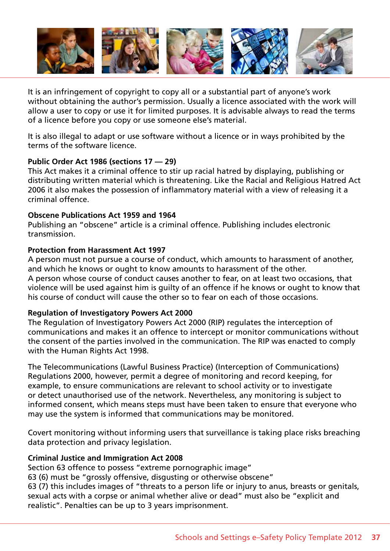

It is an infringement of copyright to copy all or a substantial part of anyone's work without obtaining the author's permission. Usually a licence associated with the work will allow a user to copy or use it for limited purposes. It is advisable always to read the terms of a licence before you copy or use someone else's material.

It is also illegal to adapt or use software without a licence or in ways prohibited by the terms of the software licence.

# **Public Order Act 1986 (sections 17 — 29)**

This Act makes it a criminal offence to stir up racial hatred by displaying, publishing or distributing written material which is threatening. Like the Racial and Religious Hatred Act 2006 it also makes the possession of inflammatory material with a view of releasing it a criminal offence.

#### **Obscene Publications Act 1959 and 1964**

Publishing an "obscene" article is a criminal offence. Publishing includes electronic transmission.

#### **Protection from Harassment Act 1997**

A person must not pursue a course of conduct, which amounts to harassment of another, and which he knows or ought to know amounts to harassment of the other. A person whose course of conduct causes another to fear, on at least two occasions, that violence will be used against him is guilty of an offence if he knows or ought to know that his course of conduct will cause the other so to fear on each of those occasions.

# **Regulation of Investigatory Powers Act 2000**

The Regulation of Investigatory Powers Act 2000 (RIP) regulates the interception of communications and makes it an offence to intercept or monitor communications without the consent of the parties involved in the communication. The RIP was enacted to comply with the Human Rights Act 1998.

The Telecommunications (Lawful Business Practice) (Interception of Communications) Regulations 2000, however, permit a degree of monitoring and record keeping, for example, to ensure communications are relevant to school activity or to investigate or detect unauthorised use of the network. Nevertheless, any monitoring is subject to informed consent, which means steps must have been taken to ensure that everyone who may use the system is informed that communications may be monitored.

Covert monitoring without informing users that surveillance is taking place risks breaching data protection and privacy legislation.

# **Criminal Justice and Immigration Act 2008**

Section 63 offence to possess "extreme pornographic image"

63 (6) must be "grossly offensive, disgusting or otherwise obscene"

63 (7) this includes images of "threats to a person life or injury to anus, breasts or genitals, sexual acts with a corpse or animal whether alive or dead" must also be "explicit and realistic". Penalties can be up to 3 years imprisonment.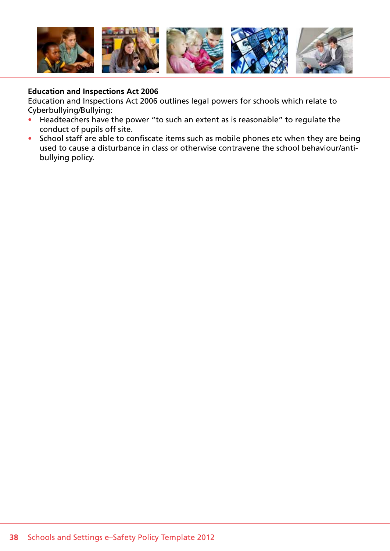

### **Education and Inspections Act 2006**

Education and Inspections Act 2006 outlines legal powers for schools which relate to Cyberbullying/Bullying:

- Headteachers have the power "to such an extent as is reasonable" to regulate the conduct of pupils off site.
- School staff are able to confiscate items such as mobile phones etc when they are being used to cause a disturbance in class or otherwise contravene the school behaviour/antibullying policy.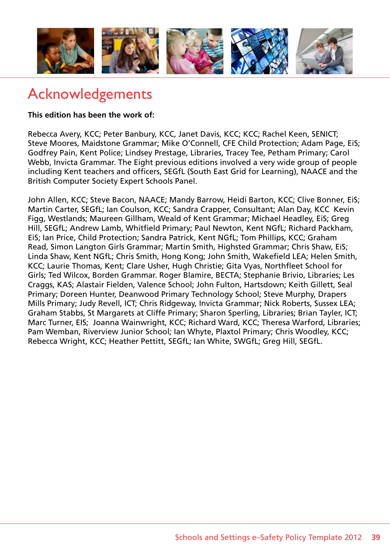

# Acknowledgements

**This edition has been the work of:**

Rebecca Avery, KCC; Peter Banbury, KCC, Janet Davis, KCC; KCC; Rachel Keen, SENICT; Steve Moores, Maidstone Grammar; Mike O'Connell, CFE Child Protection; Adam Page, EiS; Godfrey Pain, Kent Police; Lindsey Prestage, Libraries, Tracey Tee, Petham Primary; Carol Webb, Invicta Grammar. The Eight previous editions involved a very wide group of people including Kent teachers and officers, SEGfL (South East Grid for Learning), NAACE and the British Computer Society Expert Schools Panel.

John Allen, KCC; Steve Bacon, NAACE; Mandy Barrow, Heidi Barton, KCC; Clive Bonner, EiS; Martin Carter, SEGfL; Ian Coulson, KCC; Sandra Crapper, Consultant; Alan Day, KCC Kevin Figg, Westlands; Maureen Gillham, Weald of Kent Grammar; Michael Headley, EiS; Greg Hill, SEGfL; Andrew Lamb, Whitfield Primary; Paul Newton, Kent NGfL; Richard Packham, EiS; Ian Price, Child Protection; Sandra Patrick, Kent NGfL; Tom Phillips, KCC; Graham Read, Simon Langton Girls Grammar; Martin Smith, Highsted Grammar; Chris Shaw, EiS; Linda Shaw, Kent NGfL; Chris Smith, Hong Kong; John Smith, Wakefield LEA; Helen Smith, KCC; Laurie Thomas, Kent; Clare Usher, Hugh Christie; Gita Vyas, Northfleet School for Girls; Ted Wilcox, Borden Grammar. Roger Blamire, BECTA; Stephanie Brivio, Libraries; Les Craggs, KAS; Alastair Fielden, Valence School; John Fulton, Hartsdown; Keith Gillett, Seal Primary; Doreen Hunter, Deanwood Primary Technology School; Steve Murphy, Drapers Mills Primary; Judy Revell, ICT; Chris Ridgeway, Invicta Grammar; Nick Roberts, Sussex LEA; Graham Stabbs, St Margarets at Cliffe Primary; Sharon Sperling, Libraries; Brian Tayler, ICT; Marc Turner, EIS; Joanna Wainwright, KCC; Richard Ward, KCC; Theresa Warford, Libraries; Pam Wemban, Riverview Junior School; Ian Whyte, Plaxtol Primary; Chris Woodley, KCC; Rebecca Wright, KCC; Heather Pettitt, SEGfL; Ian White, SWGfL; Greg Hill, SEGfL.